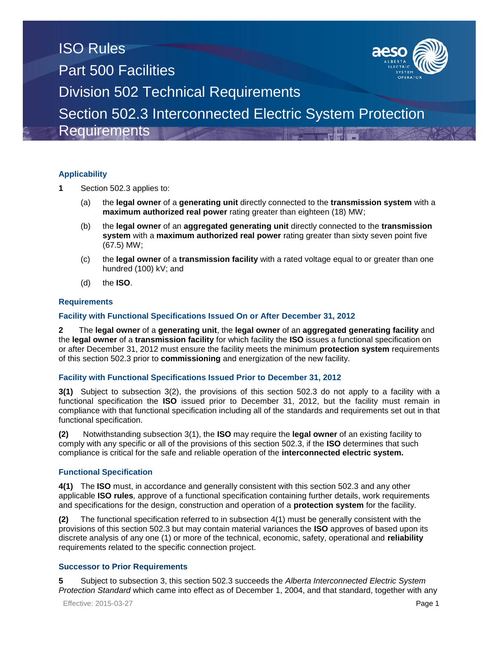

# **Applicability**

- **1** Section 502.3 applies to:
	- (a) the **legal owner** of a **generating unit** directly connected to the **transmission system** with a **maximum authorized real power** rating greater than eighteen (18) MW;
	- (b) the **legal owner** of an **aggregated generating unit** directly connected to the **transmission system** with a **maximum authorized real power** rating greater than sixty seven point five (67.5) MW;
	- (c) the **legal owner** of a **transmission facility** with a rated voltage equal to or greater than one hundred (100) kV; and
	- (d) the **ISO**.

### **Requirements**

### **Facility with Functional Specifications Issued On or After December 31, 2012**

**2** The **legal owner** of a **generating unit**, the **legal owner** of an **aggregated generating facility** and the **legal owner** of a **transmission facility** for which facility the **ISO** issues a functional specification on or after December 31, 2012 must ensure the facility meets the minimum **protection system** requirements of this section 502.3 prior to **commissioning** and energization of the new facility.

### **Facility with Functional Specifications Issued Prior to December 31, 2012**

**3(1)** Subject to subsection 3(2), the provisions of this section 502.3 do not apply to a facility with a functional specification the **ISO** issued prior to December 31, 2012, but the facility must remain in compliance with that functional specification including all of the standards and requirements set out in that functional specification.

**(2)** Notwithstanding subsection 3(1), the **ISO** may require the **legal owner** of an existing facility to comply with any specific or all of the provisions of this section 502.3, if the **ISO** determines that such compliance is critical for the safe and reliable operation of the **interconnected electric system.**

#### **Functional Specification**

**4(1)** The **ISO** must, in accordance and generally consistent with this section 502.3 and any other applicable **ISO rules***,* approve of a functional specification containing further details, work requirements and specifications for the design, construction and operation of a **protection system** for the facility.

**(2)** The functional specification referred to in subsection 4(1) must be generally consistent with the provisions of this section 502.3 but may contain material variances the **ISO** approves of based upon its discrete analysis of any one (1) or more of the technical, economic, safety, operational and **reliability** requirements related to the specific connection project.

#### **Successor to Prior Requirements**

**5** Subject to subsection 3, this section 502.3 succeeds the *Alberta Interconnected Electric System Protection Standard* which came into effect as of December 1, 2004, and that standard, together with any

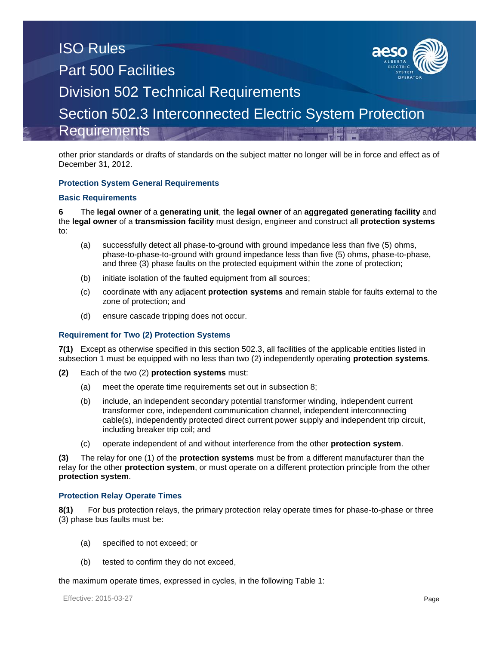other prior standards or drafts of standards on the subject matter no longer will be in force and effect as of December 31, 2012.

#### **Protection System General Requirements**

#### **Basic Requirements**

**6** The **legal owner** of a **generating unit**, the **legal owner** of an **aggregated generating facility** and the **legal owner** of a **transmission facility** must design, engineer and construct all **protection systems**  to:

- (a) successfully detect all phase-to-ground with ground impedance less than five (5) ohms, phase-to-phase-to-ground with ground impedance less than five (5) ohms, phase-to-phase, and three (3) phase faults on the protected equipment within the zone of protection;
- (b) initiate isolation of the faulted equipment from all sources;
- (c) coordinate with any adjacent **protection systems** and remain stable for faults external to the zone of protection; and
- (d) ensure cascade tripping does not occur.

#### **Requirement for Two (2) Protection Systems**

**7(1)** Except as otherwise specified in this section 502.3, all facilities of the applicable entities listed in subsection 1 must be equipped with no less than two (2) independently operating **protection systems**.

- **(2)** Each of the two (2) **protection systems** must:
	- (a) meet the operate time requirements set out in subsection 8;
	- (b) include, an independent secondary potential transformer winding, independent current transformer core, independent communication channel, independent interconnecting cable(s), independently protected direct current power supply and independent trip circuit, including breaker trip coil; and
	- (c) operate independent of and without interference from the other **protection system**.

**(3)** The relay for one (1) of the **protection systems** must be from a different manufacturer than the relay for the other **protection system**, or must operate on a different protection principle from the other **protection system**.

#### **Protection Relay Operate Times**

**8(1)** For bus protection relays, the primary protection relay operate times for phase-to-phase or three (3) phase bus faults must be:

- (a) specified to not exceed; or
- (b) tested to confirm they do not exceed,

the maximum operate times, expressed in cycles, in the following Table 1: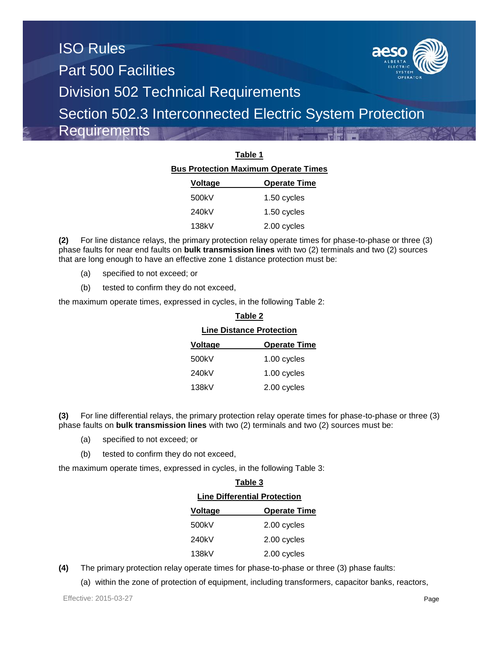

| Table 1                                     |                     |  |  |  |
|---------------------------------------------|---------------------|--|--|--|
| <b>Bus Protection Maximum Operate Times</b> |                     |  |  |  |
| <u>Voltage</u>                              | <b>Operate Time</b> |  |  |  |
| 500kV                                       | 1.50 cycles         |  |  |  |
| 240kV                                       | 1.50 cycles         |  |  |  |
| 138kV                                       | 2.00 cycles         |  |  |  |

**(2)** For line distance relays, the primary protection relay operate times for phase-to-phase or three (3) phase faults for near end faults on **bulk transmission lines** with two (2) terminals and two (2) sources that are long enough to have an effective zone 1 distance protection must be:

- (a) specified to not exceed; or
- (b) tested to confirm they do not exceed,

the maximum operate times, expressed in cycles, in the following Table 2:

| Table 2                         |                     |  |
|---------------------------------|---------------------|--|
| <b>Line Distance Protection</b> |                     |  |
| Voltage                         | <b>Operate Time</b> |  |
| 500kV                           | 1.00 cycles         |  |
| 240kV                           | 1.00 cycles         |  |
| 138kV                           | 2.00 cycles         |  |

**(3)** For line differential relays, the primary protection relay operate times for phase-to-phase or three (3) phase faults on **bulk transmission lines** with two (2) terminals and two (2) sources must be:

- (a) specified to not exceed; or
- (b) tested to confirm they do not exceed,

the maximum operate times, expressed in cycles, in the following Table 3:

| Table 3                             |                     |  |
|-------------------------------------|---------------------|--|
| <b>Line Differential Protection</b> |                     |  |
| Voltage                             | <b>Operate Time</b> |  |
| 500kV                               | 2.00 cycles         |  |
| 240kV                               | 2.00 cycles         |  |
| 138kV                               | 2.00 cycles         |  |

**(4)** The primary protection relay operate times for phase-to-phase or three (3) phase faults:

(a) within the zone of protection of equipment, including transformers, capacitor banks, reactors,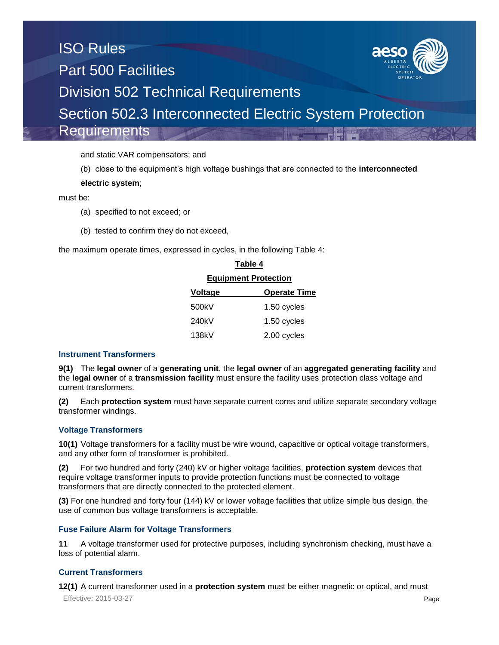and static VAR compensators; and

(b) close to the equipment's high voltage bushings that are connected to the **interconnected** 

### **electric system**;

must be:

- (a) specified to not exceed; or
- (b) tested to confirm they do not exceed,

the maximum operate times, expressed in cycles, in the following Table 4:

| i abie 4                    |                     |  |
|-----------------------------|---------------------|--|
| <b>Equipment Protection</b> |                     |  |
| Voltage                     | <b>Operate Time</b> |  |
| 500kV                       | 1.50 cycles         |  |
| 240kV                       | 1.50 cycles         |  |
| 138kV                       | 2.00 cycles         |  |

**Table 4**

#### **Instrument Transformers**

**9(1)** The **legal owner** of a **generating unit**, the **legal owner** of an **aggregated generating facility** and the **legal owner** of a **transmission facility** must ensure the facility uses protection class voltage and current transformers.

**(2)** Each **protection system** must have separate current cores and utilize separate secondary voltage transformer windings.

# **Voltage Transformers**

**10(1)** Voltage transformers for a facility must be wire wound, capacitive or optical voltage transformers, and any other form of transformer is prohibited.

**(2)** For two hundred and forty (240) kV or higher voltage facilities, **protection system** devices that require voltage transformer inputs to provide protection functions must be connected to voltage transformers that are directly connected to the protected element.

**(3)** For one hundred and forty four (144) kV or lower voltage facilities that utilize simple bus design, the use of common bus voltage transformers is acceptable.

# **Fuse Failure Alarm for Voltage Transformers**

**11** A voltage transformer used for protective purposes, including synchronism checking, must have a loss of potential alarm.

# **Current Transformers**

Effective: 2015-03-27 **Page 12(1)** A current transformer used in a **protection system** must be either magnetic or optical, and must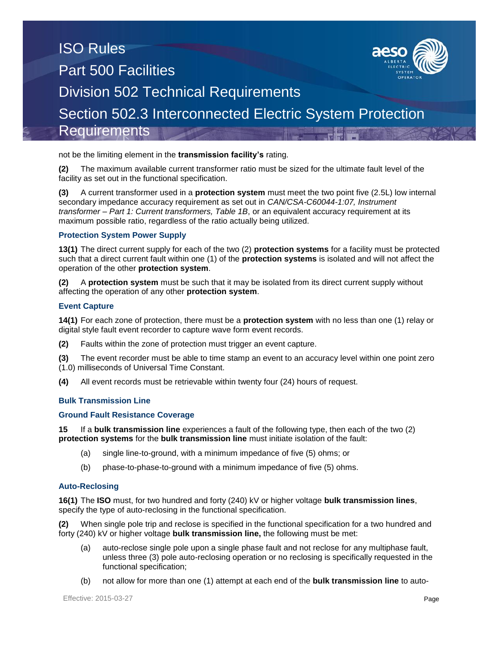not be the limiting element in the **transmission facility's** rating.

**(2)** The maximum available current transformer ratio must be sized for the ultimate fault level of the facility as set out in the functional specification.

**(3)** A current transformer used in a **protection system** must meet the two point five (2.5L) low internal secondary impedance accuracy requirement as set out in *CAN/CSA-C60044-1:07, Instrument transformer – Part 1: Current transformers, Table 1B*, or an equivalent accuracy requirement at its maximum possible ratio, regardless of the ratio actually being utilized.

### **Protection System Power Supply**

**13(1)** The direct current supply for each of the two (2) **protection systems** for a facility must be protected such that a direct current fault within one (1) of the **protection systems** is isolated and will not affect the operation of the other **protection system**.

**(2)** A **protection system** must be such that it may be isolated from its direct current supply without affecting the operation of any other **protection system**.

#### **Event Capture**

**14(1)** For each zone of protection, there must be a **protection system** with no less than one (1) relay or digital style fault event recorder to capture wave form event records.

**(2)** Faults within the zone of protection must trigger an event capture.

**(3)** The event recorder must be able to time stamp an event to an accuracy level within one point zero (1.0) milliseconds of Universal Time Constant.

**(4)** All event records must be retrievable within twenty four (24) hours of request.

#### **Bulk Transmission Line**

#### **Ground Fault Resistance Coverage**

**15** If a **bulk transmission line** experiences a fault of the following type, then each of the two (2) **protection systems** for the **bulk transmission line** must initiate isolation of the fault:

- (a) single line-to-ground, with a minimum impedance of five (5) ohms; or
- (b) phase-to-phase-to-ground with a minimum impedance of five (5) ohms.

#### **Auto-Reclosing**

**16(1)** The **ISO** must, for two hundred and forty (240) kV or higher voltage **bulk transmission lines**, specify the type of auto-reclosing in the functional specification.

**(2)** When single pole trip and reclose is specified in the functional specification for a two hundred and forty (240) kV or higher voltage **bulk transmission line,** the following must be met:

- (a) auto-reclose single pole upon a single phase fault and not reclose for any multiphase fault, unless three (3) pole auto-reclosing operation or no reclosing is specifically requested in the functional specification;
- (b) not allow for more than one (1) attempt at each end of the **bulk transmission line** to auto-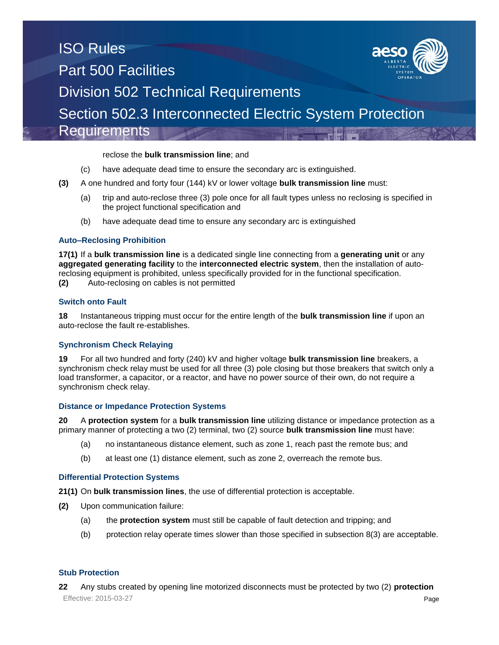#### reclose the **bulk transmission line**; and

- (c) have adequate dead time to ensure the secondary arc is extinguished.
- **(3)** A one hundred and forty four (144) kV or lower voltage **bulk transmission line** must:
	- (a) trip and auto-reclose three (3) pole once for all fault types unless no reclosing is specified in the project functional specification and
	- (b) have adequate dead time to ensure any secondary arc is extinguished

#### **Auto–Reclosing Prohibition**

**17(1)** If a **bulk transmission line** is a dedicated single line connecting from a **generating unit** or any **aggregated generating facility** to the **interconnected electric system**, then the installation of autoreclosing equipment is prohibited, unless specifically provided for in the functional specification. **(2)** Auto-reclosing on cables is not permitted

#### **Switch onto Fault**

**18** Instantaneous tripping must occur for the entire length of the **bulk transmission line** if upon an auto-reclose the fault re-establishes.

#### **Synchronism Check Relaying**

**19** For all two hundred and forty (240) kV and higher voltage **bulk transmission line** breakers, a synchronism check relay must be used for all three (3) pole closing but those breakers that switch only a load transformer, a capacitor, or a reactor, and have no power source of their own, do not require a synchronism check relay.

#### **Distance or Impedance Protection Systems**

**20** A **protection system** for a **bulk transmission line** utilizing distance or impedance protection as a primary manner of protecting a two (2) terminal, two (2) source **bulk transmission line** must have:

- (a) no instantaneous distance element, such as zone 1, reach past the remote bus; and
- (b) at least one (1) distance element, such as zone 2, overreach the remote bus.

#### **Differential Protection Systems**

**21(1)** On **bulk transmission lines**, the use of differential protection is acceptable.

- **(2)** Upon communication failure:
	- (a) the **protection system** must still be capable of fault detection and tripping; and
	- (b) protection relay operate times slower than those specified in subsection 8(3) are acceptable.

#### **Stub Protection**

Effective: 2015-03-27 **Page 22** Any stubs created by opening line motorized disconnects must be protected by two (2) **protection**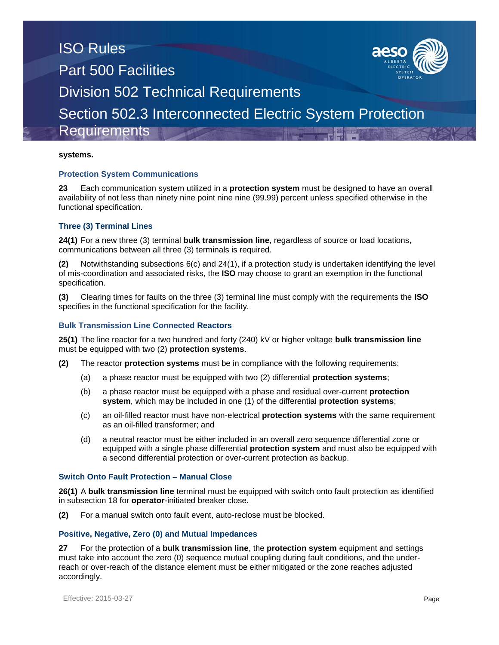#### **systems.**

#### **Protection System Communications**

**23** Each communication system utilized in a **protection system** must be designed to have an overall availability of not less than ninety nine point nine nine (99.99) percent unless specified otherwise in the functional specification.

#### **Three (3) Terminal Lines**

**24(1)** For a new three (3) terminal **bulk transmission line**, regardless of source or load locations, communications between all three (3) terminals is required.

**(2)** Notwithstanding subsections 6(c) and 24(1), if a protection study is undertaken identifying the level of mis-coordination and associated risks, the **ISO** may choose to grant an exemption in the functional specification.

**(3)** Clearing times for faults on the three (3) terminal line must comply with the requirements the **ISO** specifies in the functional specification for the facility.

#### **Bulk Transmission Line Connected Reactors**

**25(1)** The line reactor for a two hundred and forty (240) kV or higher voltage **bulk transmission line** must be equipped with two (2) **protection systems**.

- **(2)** The reactor **protection systems** must be in compliance with the following requirements:
	- (a) a phase reactor must be equipped with two (2) differential **protection systems**;
	- (b) a phase reactor must be equipped with a phase and residual over-current **protection system**, which may be included in one (1) of the differential **protection systems**;
	- (c) an oil-filled reactor must have non-electrical **protection systems** with the same requirement as an oil-filled transformer; and
	- (d) a neutral reactor must be either included in an overall zero sequence differential zone or equipped with a single phase differential **protection system** and must also be equipped with a second differential protection or over-current protection as backup.

#### **Switch Onto Fault Protection – Manual Close**

**26(1)** A **bulk transmission line** terminal must be equipped with switch onto fault protection as identified in subsection 18 for **operator**-initiated breaker close.

**(2)** For a manual switch onto fault event, auto-reclose must be blocked.

#### **Positive, Negative, Zero (0) and Mutual Impedances**

**27** For the protection of a **bulk transmission line**, the **protection system** equipment and settings must take into account the zero (0) sequence mutual coupling during fault conditions, and the underreach or over-reach of the distance element must be either mitigated or the zone reaches adjusted accordingly.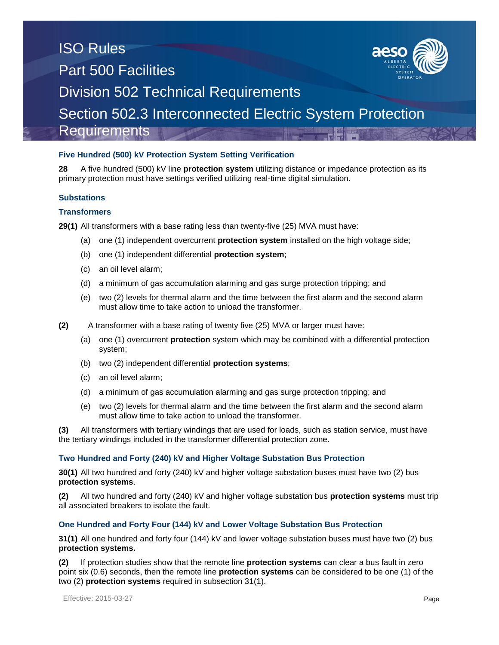### **Five Hundred (500) kV Protection System Setting Verification**

**28** A five hundred (500) kV line **protection system** utilizing distance or impedance protection as its primary protection must have settings verified utilizing real-time digital simulation.

#### **Substations**

#### **Transformers**

**29(1)** All transformers with a base rating less than twenty-five (25) MVA must have:

- (a) one (1) independent overcurrent **protection system** installed on the high voltage side;
- (b) one (1) independent differential **protection system**;
- (c) an oil level alarm;
- (d) a minimum of gas accumulation alarming and gas surge protection tripping; and
- (e) two (2) levels for thermal alarm and the time between the first alarm and the second alarm must allow time to take action to unload the transformer.
- **(2)** A transformer with a base rating of twenty five (25) MVA or larger must have:
	- (a) one (1) overcurrent **protection** system which may be combined with a differential protection system;
	- (b) two (2) independent differential **protection systems**;
	- (c) an oil level alarm;
	- (d) a minimum of gas accumulation alarming and gas surge protection tripping; and
	- (e) two (2) levels for thermal alarm and the time between the first alarm and the second alarm must allow time to take action to unload the transformer.

**(3)** All transformers with tertiary windings that are used for loads, such as station service, must have the tertiary windings included in the transformer differential protection zone.

#### **Two Hundred and Forty (240) kV and Higher Voltage Substation Bus Protection**

**30(1)** All two hundred and forty (240) kV and higher voltage substation buses must have two (2) bus **protection systems**.

**(2)** All two hundred and forty (240) kV and higher voltage substation bus **protection systems** must trip all associated breakers to isolate the fault.

#### **One Hundred and Forty Four (144) kV and Lower Voltage Substation Bus Protection**

**31(1)** All one hundred and forty four (144) kV and lower voltage substation buses must have two (2) bus **protection systems.**

**(2)** If protection studies show that the remote line **protection systems** can clear a bus fault in zero point six (0.6) seconds, then the remote line **protection systems** can be considered to be one (1) of the two (2) **protection systems** required in subsection 31(1).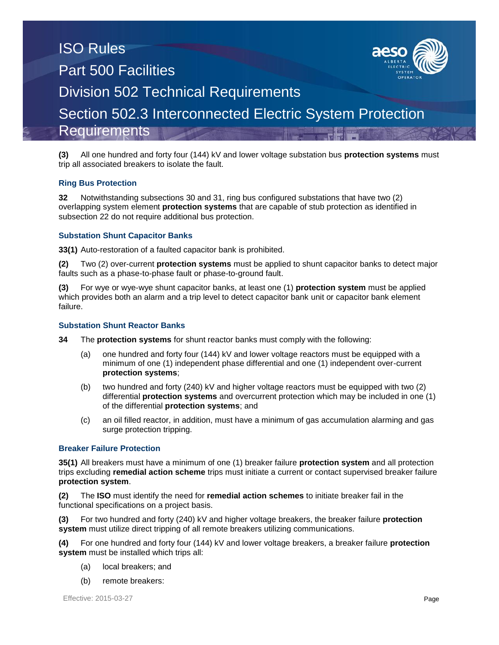# ISO Rules Part 500 Facilities Division 502 Technical Requirements



Section 502.3 Interconnected Electric System Protection

**Requirements** 

**(3)** All one hundred and forty four (144) kV and lower voltage substation bus **protection systems** must trip all associated breakers to isolate the fault.

# **Ring Bus Protection**

**32** Notwithstanding subsections 30 and 31, ring bus configured substations that have two (2) overlapping system element **protection systems** that are capable of stub protection as identified in subsection 22 do not require additional bus protection.

# **Substation Shunt Capacitor Banks**

**33(1)** Auto-restoration of a faulted capacitor bank is prohibited.

**(2)** Two (2) over-current **protection systems** must be applied to shunt capacitor banks to detect major faults such as a phase-to-phase fault or phase-to-ground fault.

**(3)** For wye or wye-wye shunt capacitor banks, at least one (1) **protection system** must be applied which provides both an alarm and a trip level to detect capacitor bank unit or capacitor bank element failure.

### **Substation Shunt Reactor Banks**

**34** The **protection systems** for shunt reactor banks must comply with the following:

- (a) one hundred and forty four (144) kV and lower voltage reactors must be equipped with a minimum of one (1) independent phase differential and one (1) independent over-current **protection systems**;
- (b) two hundred and forty (240) kV and higher voltage reactors must be equipped with two (2) differential **protection systems** and overcurrent protection which may be included in one (1) of the differential **protection systems**; and
- (c) an oil filled reactor, in addition, must have a minimum of gas accumulation alarming and gas surge protection tripping.

# **Breaker Failure Protection**

**35(1)** All breakers must have a minimum of one (1) breaker failure **protection system** and all protection trips excluding **remedial action scheme** trips must initiate a current or contact supervised breaker failure **protection system**.

**(2)** The **ISO** must identify the need for **remedial action schemes** to initiate breaker fail in the functional specifications on a project basis.

**(3)** For two hundred and forty (240) kV and higher voltage breakers, the breaker failure **protection system** must utilize direct tripping of all remote breakers utilizing communications.

**(4)** For one hundred and forty four (144) kV and lower voltage breakers, a breaker failure **protection system** must be installed which trips all:

- (a) local breakers; and
- (b) remote breakers: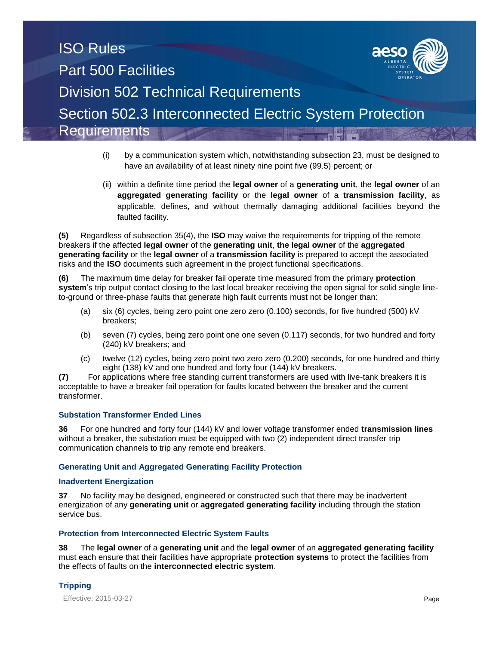- (i) by a communication system which, notwithstanding subsection 23, must be designed to have an availability of at least ninety nine point five (99.5) percent; or
- (ii) within a definite time period the **legal owner** of a **generating unit**, the **legal owner** of an **aggregated generating facility** or the **legal owner** of a **transmission facility**, as applicable, defines, and without thermally damaging additional facilities beyond the faulted facility.

**(5)** Regardless of subsection 35(4), the **ISO** may waive the requirements for tripping of the remote breakers if the affected **legal owner** of the **generating unit**, **the legal owner** of the **aggregated generating facility** or the **legal owner** of a **transmission facility** is prepared to accept the associated risks and the **ISO** documents such agreement in the project functional specifications.

**(6)** The maximum time delay for breaker fail operate time measured from the primary **protection system**'s trip output contact closing to the last local breaker receiving the open signal for solid single lineto-ground or three-phase faults that generate high fault currents must not be longer than:

- (a) six (6) cycles, being zero point one zero zero (0.100) seconds, for five hundred (500) kV breakers;
- (b) seven (7) cycles, being zero point one one seven (0.117) seconds, for two hundred and forty (240) kV breakers; and
- (c) twelve (12) cycles, being zero point two zero zero (0.200) seconds, for one hundred and thirty eight (138) kV and one hundred and forty four (144) kV breakers.

**(7)** For applications where free standing current transformers are used with live-tank breakers it is acceptable to have a breaker fail operation for faults located between the breaker and the current transformer.

# **Substation Transformer Ended Lines**

**36** For one hundred and forty four (144) kV and lower voltage transformer ended **transmission lines** without a breaker, the substation must be equipped with two (2) independent direct transfer trip communication channels to trip any remote end breakers.

#### **Generating Unit and Aggregated Generating Facility Protection**

#### **Inadvertent Energization**

**37** No facility may be designed, engineered or constructed such that there may be inadvertent energization of any **generating unit** or **aggregated generating facility** including through the station service bus.

# **Protection from Interconnected Electric System Faults**

**38** The **legal owner** of a **generating unit** and the **legal owner** of an **aggregated generating facility** must each ensure that their facilities have appropriate **protection systems** to protect the facilities from the effects of faults on the **interconnected electric system**.

# **Tripping**

Effective: 2015-03-27 **Page**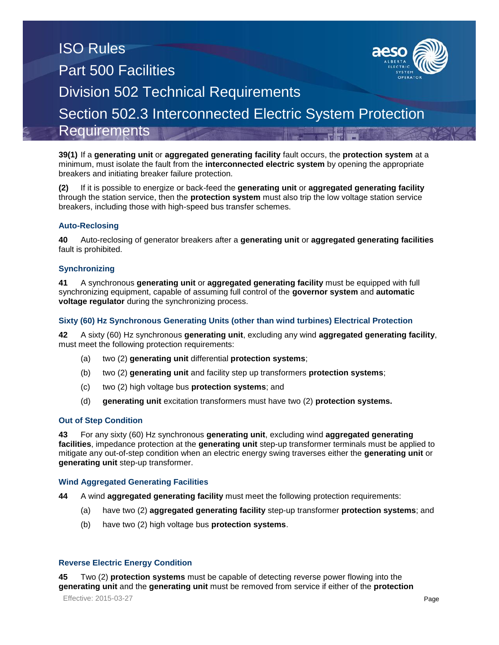**39(1)** If a **generating unit** or **aggregated generating facility** fault occurs, the **protection system** at a minimum, must isolate the fault from the **interconnected electric system** by opening the appropriate breakers and initiating breaker failure protection.

**(2)** If it is possible to energize or back-feed the **generating unit** or **aggregated generating facility** through the station service, then the **protection system** must also trip the low voltage station service breakers, including those with high-speed bus transfer schemes.

#### **Auto-Reclosing**

**40** Auto-reclosing of generator breakers after a **generating unit** or **aggregated generating facilities** fault is prohibited.

#### **Synchronizing**

**41** A synchronous **generating unit** or **aggregated generating facility** must be equipped with full synchronizing equipment, capable of assuming full control of the **governor system** and **automatic voltage regulator** during the synchronizing process.

#### **Sixty (60) Hz Synchronous Generating Units (other than wind turbines) Electrical Protection**

**42** A sixty (60) Hz synchronous **generating unit**, excluding any wind **aggregated generating facility**, must meet the following protection requirements:

- (a) two (2) **generating unit** differential **protection systems**;
- (b) two (2) **generating unit** and facility step up transformers **protection systems**;
- (c) two (2) high voltage bus **protection systems**; and
- (d) **generating unit** excitation transformers must have two (2) **protection systems.**

#### **Out of Step Condition**

**43** For any sixty (60) Hz synchronous **generating unit**, excluding wind **aggregated generating facilities**, impedance protection at the **generating unit** step-up transformer terminals must be applied to mitigate any out-of-step condition when an electric energy swing traverses either the **generating unit** or **generating unit** step-up transformer.

#### **Wind Aggregated Generating Facilities**

- **44** A wind **aggregated generating facility** must meet the following protection requirements:
	- (a) have two (2) **aggregated generating facility** step-up transformer **protection systems**; and
	- (b) have two (2) high voltage bus **protection systems**.

#### **Reverse Electric Energy Condition**

**45** Two (2) **protection systems** must be capable of detecting reverse power flowing into the **generating unit** and the **generating unit** must be removed from service if either of the **protection** 

Effective: 2015-03-27 **Page**